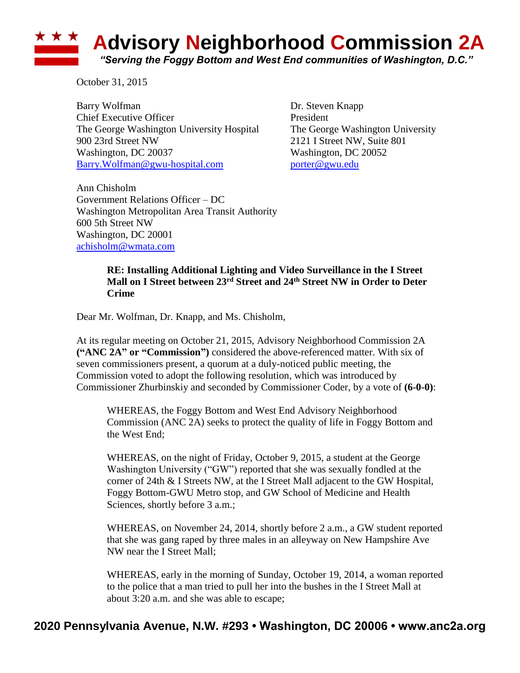## **Advisory Neighborhood Commission 2A** *"Serving the Foggy Bottom and West End communities of Washington, D.C."*

October 31, 2015

Barry Wolfman Dr. Steven Knapp Chief Executive Officer **President** The George Washington University Hospital The George Washington University 900 23rd Street NW 2121 I Street NW, Suite 801 Washington, DC 20037 Washington, DC 20052 [Barry.Wolfman@gwu-hospital.com](mailto:Barry.Wolfman@gwu-hospital.com) [porter@gwu.edu](mailto:porter@gwu.edu)

Ann Chisholm Government Relations Officer – DC Washington Metropolitan Area Transit Authority 600 5th Street NW Washington, DC 20001 [achisholm@wmata.com](mailto:achisholm@wmata.com)

## **RE: Installing Additional Lighting and Video Surveillance in the I Street Mall on I Street between 23rd Street and 24th Street NW in Order to Deter Crime**

Dear Mr. Wolfman, Dr. Knapp, and Ms. Chisholm,

At its regular meeting on October 21, 2015, Advisory Neighborhood Commission 2A **("ANC 2A" or "Commission")** considered the above-referenced matter. With six of seven commissioners present, a quorum at a duly-noticed public meeting, the Commission voted to adopt the following resolution, which was introduced by Commissioner Zhurbinskiy and seconded by Commissioner Coder, by a vote of **(6-0-0)**:

WHEREAS, the Foggy Bottom and West End Advisory Neighborhood Commission (ANC 2A) seeks to protect the quality of life in Foggy Bottom and the West End;

WHEREAS, on the night of Friday, October 9, 2015, a student at the George Washington University ("GW") reported that she was sexually fondled at the corner of 24th & I Streets NW, at the I Street Mall adjacent to the GW Hospital, Foggy Bottom-GWU Metro stop, and GW School of Medicine and Health Sciences, shortly before 3 a.m.;

WHEREAS, on November 24, 2014, shortly before 2 a.m., a GW student reported that she was gang raped by three males in an alleyway on New Hampshire Ave NW near the I Street Mall;

WHEREAS, early in the morning of Sunday, October 19, 2014, a woman reported to the police that a man tried to pull her into the bushes in the I Street Mall at about 3:20 a.m. and she was able to escape;